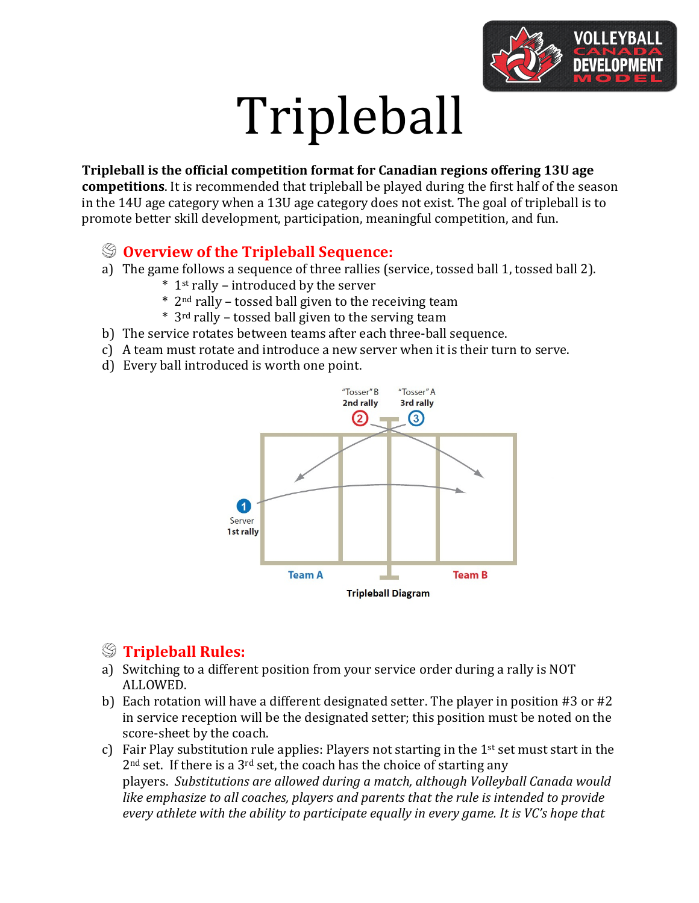

# Tripleball

#### **Tripleball is the official competition format for Canadian regions offering 13U age**

**competitions**. It is recommended that tripleball be played during the first half of the season in the 14U age category when a 13U age category does not exist. The goal of tripleball is to promote better skill development, participation, meaningful competition, and fun.

#### $\mathcal{D}$  **Overview of the Tripleball Sequence:**

- a) The game follows a sequence of three rallies (service, tossed ball 1, tossed ball 2).
	- $*$  1<sup>st</sup> rally introduced by the server
	- $*$  2<sup>nd</sup> rally tossed ball given to the receiving team
	- \* 3rd rally – tossed ball given to the serving team
- b) The service rotates between teams after each three-ball sequence.
- c) A team must rotate and introduce a new server when it is their turn to serve.
- d) Every ball introduced is worth one point.



# **Tripleball Rules:**

- a) Switching to a different position from your service order during a rally is NOT ALLOWED.
- b) Each rotation will have a different designated setter. The player in position  $#3$  or  $#2$ in service reception will be the designated setter; this position must be noted on the score-sheet by the coach.
- c) Fair Play substitution rule applies: Players not starting in the  $1<sup>st</sup>$  set must start in the  $2<sup>nd</sup>$  set. If there is a  $3<sup>rd</sup>$  set, the coach has the choice of starting any players. *Substitutions are allowed during a match, although Volleyball Canada would like emphasize to all coaches, players and parents that the rule is intended to provide every* athlete with the ability to participate equally in every game. It is VC's hope that